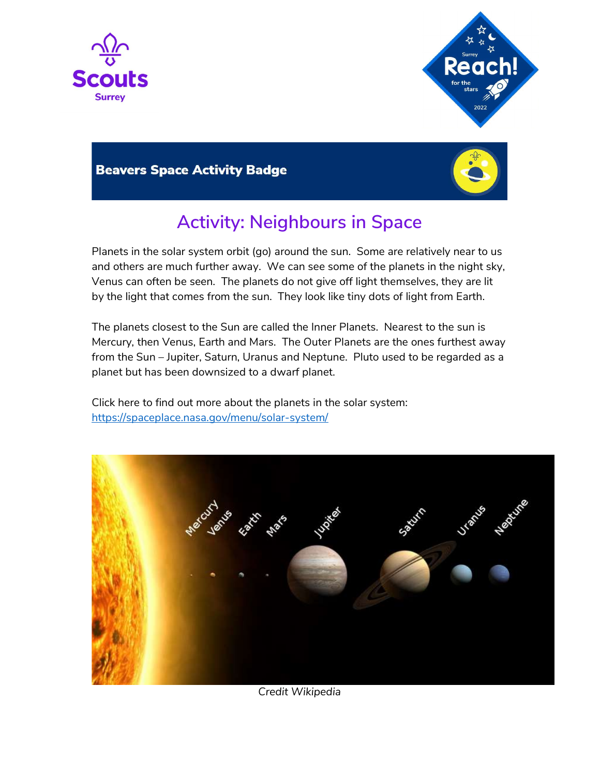



## **Beavers Space Activity Badge**



## Activity: Neighbours in Space

Planets in the solar system orbit (go) around the sun. Some are relatively near to us and others are much further away. We can see some of the planets in the night sky, Venus can often be seen. The planets do not give off light themselves, they are lit by the light that comes from the sun. They look like tiny dots of light from Earth.

The planets closest to the Sun are called the Inner Planets. Nearest to the sun is Mercury, then Venus, Earth and Mars. The Outer Planets are the ones furthest away from the Sun – Jupiter, Saturn, Uranus and Neptune. Pluto used to be regarded as a planet but has been downsized to a dwarf planet.

Click here to find out more about the planets in the solar system: https://spaceplace.nasa.gov/menu/solar-system/



Credit Wikipedia